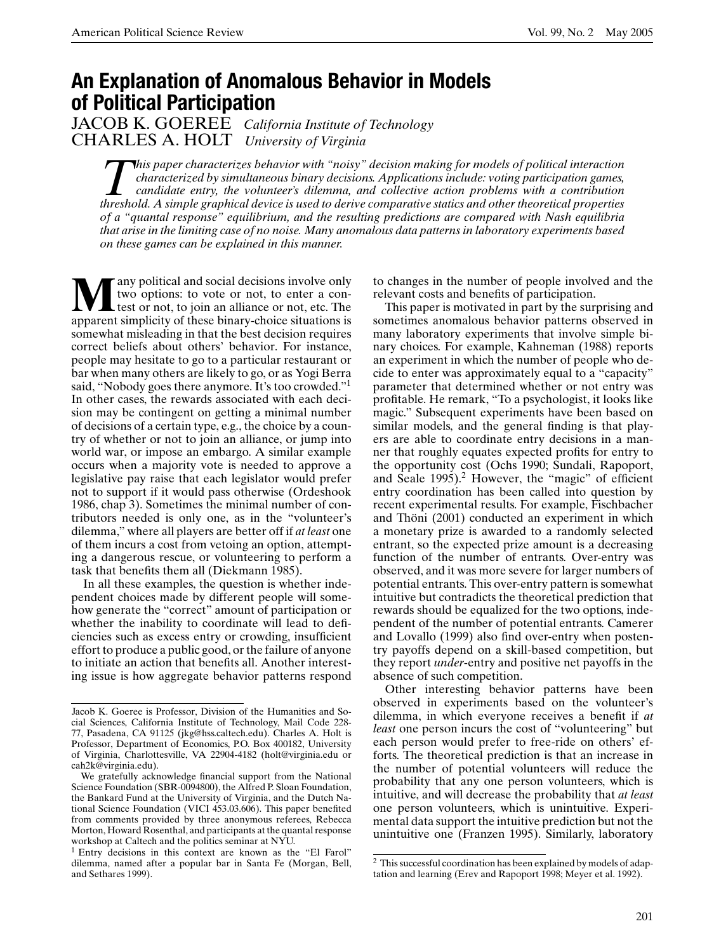# **An Explanation of Anomalous Behavior in Models of Political Participation**

JACOB K. GOEREE *California Institute of Technology* CHARLES A. HOLT *University of Virginia*

*This paper characterizes behavior with "noisy" decision making for models of political interaction characterized by simultaneous binary decisions. Applications include: voting participation games, candidate entry, the volunteer's dilemma, and collective action problems with a contribution threshold. A simple graphical device is used to derive comparative statics and other theoretical properties of a "quantal response" equilibrium, and the resulting predictions are compared with Nash equilibria that arise in the limiting case of no noise. Many anomalous data patterns in laboratory experiments based on these games can be explained in this manner.*

any political and social decisions involve only two options: to vote or not, to enter a con-**Lest or not, to join an alliance or not, etc. The** apparent simplicity of these binary-choice situations is somewhat misleading in that the best decision requires correct beliefs about others' behavior. For instance, people may hesitate to go to a particular restaurant or bar when many others are likely to go, or as Yogi Berra said, "Nobody goes there anymore. It's too crowded."1 In other cases, the rewards associated with each decision may be contingent on getting a minimal number of decisions of a certain type, e.g., the choice by a country of whether or not to join an alliance, or jump into world war, or impose an embargo. A similar example occurs when a majority vote is needed to approve a legislative pay raise that each legislator would prefer not to support if it would pass otherwise (Ordeshook 1986, chap 3). Sometimes the minimal number of contributors needed is only one, as in the "volunteer's dilemma," where all players are better off if *at least* one of them incurs a cost from vetoing an option, attempting a dangerous rescue, or volunteering to perform a task that benefits them all (Diekmann 1985).

In all these examples, the question is whether independent choices made by different people will somehow generate the "correct" amount of participation or whether the inability to coordinate will lead to deficiencies such as excess entry or crowding, insufficient effort to produce a public good, or the failure of anyone to initiate an action that benefits all. Another interesting issue is how aggregate behavior patterns respond

to changes in the number of people involved and the relevant costs and benefits of participation.

This paper is motivated in part by the surprising and sometimes anomalous behavior patterns observed in many laboratory experiments that involve simple binary choices. For example, Kahneman (1988) reports an experiment in which the number of people who decide to enter was approximately equal to a "capacity" parameter that determined whether or not entry was profitable. He remark, "To a psychologist, it looks like magic." Subsequent experiments have been based on similar models, and the general finding is that players are able to coordinate entry decisions in a manner that roughly equates expected profits for entry to the opportunity cost (Ochs 1990; Sundali, Rapoport, and Seale 1995).<sup>2</sup> However, the "magic" of efficient entry coordination has been called into question by recent experimental results. For example, Fischbacher and Thöni (2001) conducted an experiment in which a monetary prize is awarded to a randomly selected entrant, so the expected prize amount is a decreasing function of the number of entrants. Over-entry was observed, and it was more severe for larger numbers of potential entrants. This over-entry pattern is somewhat intuitive but contradicts the theoretical prediction that rewards should be equalized for the two options, independent of the number of potential entrants. Camerer and Lovallo (1999) also find over-entry when postentry payoffs depend on a skill-based competition, but they report *under*-entry and positive net payoffs in the absence of such competition.

Other interesting behavior patterns have been observed in experiments based on the volunteer's dilemma, in which everyone receives a benefit if *at least* one person incurs the cost of "volunteering" but each person would prefer to free-ride on others' efforts. The theoretical prediction is that an increase in the number of potential volunteers will reduce the probability that any one person volunteers, which is intuitive, and will decrease the probability that *at least* one person volunteers, which is unintuitive. Experimental data support the intuitive prediction but not the unintuitive one (Franzen 1995). Similarly, laboratory

Jacob K. Goeree is Professor, Division of the Humanities and Social Sciences, California Institute of Technology, Mail Code 228- 77, Pasadena, CA 91125 (jkg@hss.caltech.edu). Charles A. Holt is Professor, Department of Economics, P.O. Box 400182, University of Virginia, Charlottesville, VA 22904-4182 (holt@virginia.edu or cah2k@virginia.edu).

We gratefully acknowledge financial support from the National Science Foundation (SBR-0094800), the Alfred P. Sloan Foundation, the Bankard Fund at the University of Virginia, and the Dutch National Science Foundation (VICI 453.03.606). This paper benefited from comments provided by three anonymous referees, Rebecca Morton, Howard Rosenthal, and participants at the quantal response workshop at Caltech and the politics seminar at NYU.

<sup>1</sup> Entry decisions in this context are known as the "El Farol" dilemma, named after a popular bar in Santa Fe (Morgan, Bell, and Sethares 1999).

<sup>&</sup>lt;sup>2</sup> This successful coordination has been explained by models of adaptation and learning (Erev and Rapoport 1998; Meyer et al. 1992).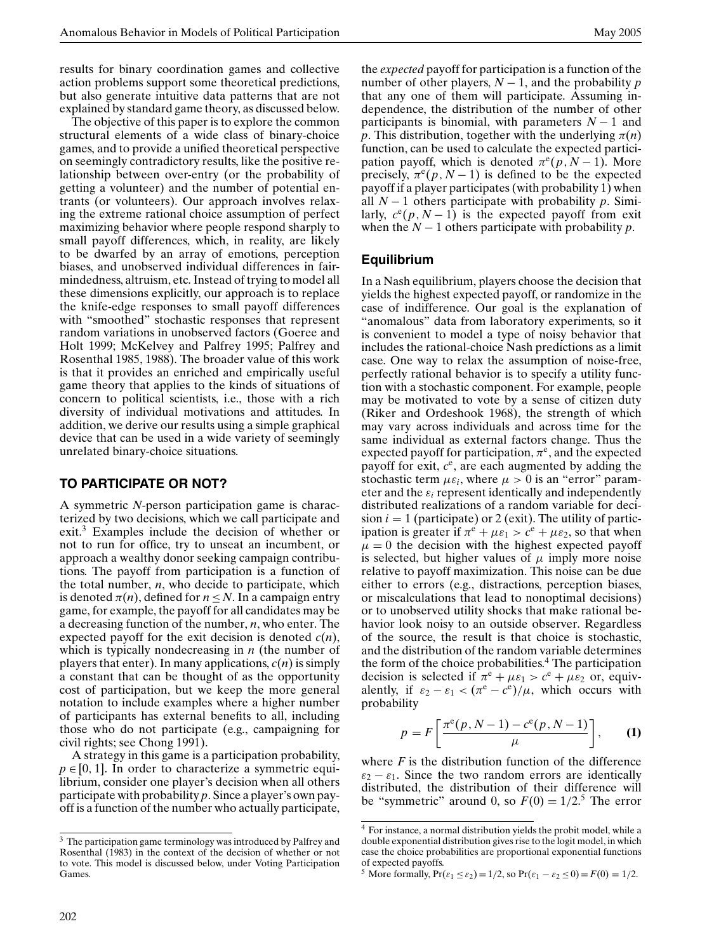results for binary coordination games and collective action problems support some theoretical predictions, but also generate intuitive data patterns that are not explained by standard game theory, as discussed below.

The objective of this paper is to explore the common structural elements of a wide class of binary-choice games, and to provide a unified theoretical perspective on seemingly contradictory results, like the positive relationship between over-entry (or the probability of getting a volunteer) and the number of potential entrants (or volunteers). Our approach involves relaxing the extreme rational choice assumption of perfect maximizing behavior where people respond sharply to small payoff differences, which, in reality, are likely to be dwarfed by an array of emotions, perception biases, and unobserved individual differences in fairmindedness, altruism, etc. Instead of trying to model all these dimensions explicitly, our approach is to replace the knife-edge responses to small payoff differences with "smoothed" stochastic responses that represent random variations in unobserved factors (Goeree and Holt 1999; McKelvey and Palfrey 1995; Palfrey and Rosenthal 1985, 1988). The broader value of this work is that it provides an enriched and empirically useful game theory that applies to the kinds of situations of concern to political scientists, i.e., those with a rich diversity of individual motivations and attitudes. In addition, we derive our results using a simple graphical device that can be used in a wide variety of seemingly unrelated binary-choice situations.

#### **TO PARTICIPATE OR NOT?**

A symmetric *N*-person participation game is characterized by two decisions, which we call participate and exit.<sup>3</sup> Examples include the decision of whether or not to run for office, try to unseat an incumbent, or approach a wealthy donor seeking campaign contributions. The payoff from participation is a function of the total number, *n*, who decide to participate, which is denoted  $\pi(n)$ , defined for  $n \leq N$ . In a campaign entry game, for example, the payoff for all candidates may be a decreasing function of the number, *n*, who enter. The expected payoff for the exit decision is denoted  $c(n)$ , which is typically nondecreasing in *n* (the number of players that enter). In many applications,  $c(n)$  is simply a constant that can be thought of as the opportunity cost of participation, but we keep the more general notation to include examples where a higher number of participants has external benefits to all, including those who do not participate (e.g., campaigning for civil rights; see Chong 1991).

A strategy in this game is a participation probability,  $p \in [0, 1]$ . In order to characterize a symmetric equilibrium, consider one player's decision when all others participate with probability *p*. Since a player's own payoff is a function of the number who actually participate,

the *expected* payoff for participation is a function of the number of other players,  $N-1$ , and the probability *p* that any one of them will participate. Assuming independence, the distribution of the number of other participants is binomial, with parameters *N* − 1 and *p*. This distribution, together with the underlying  $\pi(n)$ function, can be used to calculate the expected participation payoff, which is denoted  $\pi^{e}(p, N-1)$ . More precisely,  $\pi^{e}(p, N-1)$  is defined to be the expected payoff if a player participates (with probability 1) when all *N* − 1 others participate with probability *p*. Similarly,  $c^{e}(p, N-1)$  is the expected payoff from exit when the  $N-1$  others participate with probability  $p$ .

## **Equilibrium**

In a Nash equilibrium, players choose the decision that yields the highest expected payoff, or randomize in the case of indifference. Our goal is the explanation of "anomalous" data from laboratory experiments, so it is convenient to model a type of noisy behavior that includes the rational-choice Nash predictions as a limit case. One way to relax the assumption of noise-free, perfectly rational behavior is to specify a utility function with a stochastic component. For example, people may be motivated to vote by a sense of citizen duty (Riker and Ordeshook 1968), the strength of which may vary across individuals and across time for the same individual as external factors change. Thus the expected payoff for participation,  $\pi$ <sup>e</sup>, and the expected payoff for exit,  $c<sup>e</sup>$ , are each augmented by adding the stochastic term  $\mu \varepsilon_i$ , where  $\mu > 0$  is an "error" parameter and the *ε<sup>i</sup>* represent identically and independently distributed realizations of a random variable for decision  $i = 1$  (participate) or 2 (exit). The utility of participation is greater if  $\pi^e + \mu \varepsilon_1 > c^e + \mu \varepsilon_2$ , so that when  $\mu = 0$  the decision with the highest expected payoff is selected, but higher values of  $\mu$  imply more noise relative to payoff maximization. This noise can be due either to errors (e.g., distractions, perception biases, or miscalculations that lead to nonoptimal decisions) or to unobserved utility shocks that make rational behavior look noisy to an outside observer. Regardless of the source, the result is that choice is stochastic, and the distribution of the random variable determines the form of the choice probabilities. $4$  The participation decision is selected if  $\pi^e + \mu \varepsilon_1 > c^e + \mu \varepsilon_2$  or, equivalently, if  $\varepsilon_2 - \varepsilon_1 < (\pi^e - c^e)/\mu$ , which occurs with probability

$$
p = F\left[\frac{\pi^{e}(p, N-1) - c^{e}(p, N-1)}{\mu}\right],
$$
 (1)

where  $F$  is the distribution function of the difference  $\varepsilon_2 - \varepsilon_1$ . Since the two random errors are identically distributed, the distribution of their difference will be "symmetric" around 0, so  $F(0) = 1/2$ <sup>5</sup>. The error

<sup>3</sup> The participation game terminology was introduced by Palfrey and Rosenthal (1983) in the context of the decision of whether or not to vote. This model is discussed below, under Voting Participation Games.

<sup>&</sup>lt;sup>4</sup> For instance, a normal distribution yields the probit model, while a double exponential distribution gives rise to the logit model, in which case the choice probabilities are proportional exponential functions of expected payoffs.

<sup>&</sup>lt;sup>5</sup> More formally,  $Pr(\varepsilon_1 \leq \varepsilon_2) = 1/2$ , so  $Pr(\varepsilon_1 - \varepsilon_2 \leq 0) = F(0) = 1/2$ .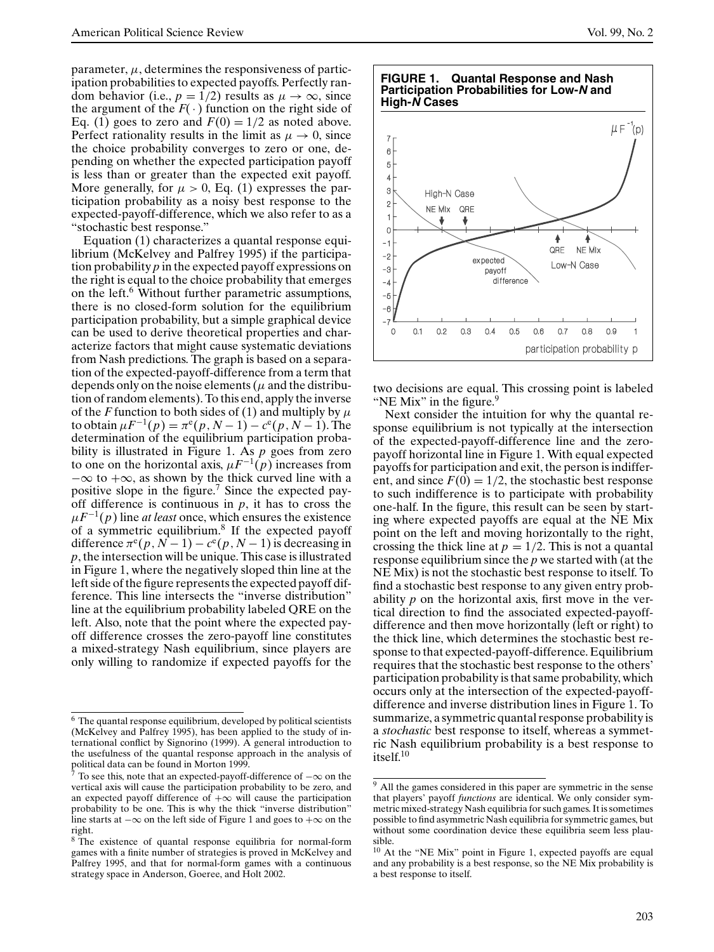parameter,  $\mu$ , determines the responsiveness of participation probabilities to expected payoffs. Perfectly random behavior (i.e.,  $p = 1/2$ ) results as  $\mu \to \infty$ , since the argument of the  $F(\cdot)$  function on the right side of Eq. (1) goes to zero and  $F(0) = 1/2$  as noted above. Perfect rationality results in the limit as  $\mu \to 0$ , since the choice probability converges to zero or one, depending on whether the expected participation payoff is less than or greater than the expected exit payoff. More generally, for  $\mu > 0$ , Eq. (1) expresses the participation probability as a noisy best response to the expected-payoff-difference, which we also refer to as a "stochastic best response."

Equation (1) characterizes a quantal response equilibrium (McKelvey and Palfrey 1995) if the participation probability *p* in the expected payoff expressions on the right is equal to the choice probability that emerges on the left.<sup>6</sup> Without further parametric assumptions, there is no closed-form solution for the equilibrium participation probability, but a simple graphical device can be used to derive theoretical properties and characterize factors that might cause systematic deviations from Nash predictions. The graph is based on a separation of the expected-payoff-difference from a term that depends only on the noise elements ( $\mu$  and the distribution of random elements). To this end, apply the inverse of the *F* function to both sides of (1) and multiply by  $\mu$  $\cot \mu F^{-1}(p) = \pi^e(p, N-1) - c^e(p, N-1)$ . The determination of the equilibrium participation probability is illustrated in Figure 1. As *p* goes from zero to one on the horizontal axis,  $\mu F^{-1}(p)$  increases from  $-\infty$  to  $+\infty$ , as shown by the thick curved line with a positive slope in the figure.<sup>7</sup> Since the expected payoff difference is continuous in  $p$ , it has to cross the  $\mu F^{-1}(p)$  line *at least* once, which ensures the existence of a symmetric equilibrium.<sup>8</sup> If the expected payoff difference  $\pi^{e}(p, N-1) - c^{e}(p, N-1)$  is decreasing in *p*, the intersection will be unique. This case is illustrated in Figure 1, where the negatively sloped thin line at the left side of the figure represents the expected payoff difference. This line intersects the "inverse distribution" line at the equilibrium probability labeled QRE on the left. Also, note that the point where the expected payoff difference crosses the zero-payoff line constitutes a mixed-strategy Nash equilibrium, since players are only willing to randomize if expected payoffs for the



two decisions are equal. This crossing point is labeled "NE Mix" in the figure. $9$ 

Next consider the intuition for why the quantal response equilibrium is not typically at the intersection of the expected-payoff-difference line and the zeropayoff horizontal line in Figure 1. With equal expected payoffs for participation and exit, the person is indifferent, and since  $F(0) = 1/2$ , the stochastic best response to such indifference is to participate with probability one-half. In the figure, this result can be seen by starting where expected payoffs are equal at the NE Mix point on the left and moving horizontally to the right, crossing the thick line at  $p = 1/2$ . This is not a quantal response equilibrium since the *p* we started with (at the NE Mix) is not the stochastic best response to itself. To find a stochastic best response to any given entry probability *p* on the horizontal axis, first move in the vertical direction to find the associated expected-payoffdifference and then move horizontally (left or right) to the thick line, which determines the stochastic best response to that expected-payoff-difference. Equilibrium requires that the stochastic best response to the others' participation probability is that same probability, which occurs only at the intersection of the expected-payoffdifference and inverse distribution lines in Figure 1. To summarize, a symmetric quantal response probability is a *stochastic* best response to itself, whereas a symmetric Nash equilibrium probability is a best response to itself.<sup>10</sup>

 $6$  The quantal response equilibrium, developed by political scientists (McKelvey and Palfrey 1995), has been applied to the study of international conflict by Signorino (1999). A general introduction to the usefulness of the quantal response approach in the analysis of political data can be found in Morton 1999.

<sup>&</sup>lt;sup>7</sup> To see this, note that an expected-payoff-difference of  $-\infty$  on the vertical axis will cause the participation probability to be zero, and an expected payoff difference of  $+\infty$  will cause the participation probability to be one. This is why the thick "inverse distribution" line starts at  $-\infty$  on the left side of Figure 1 and goes to  $+\infty$  on the right.

<sup>8</sup> The existence of quantal response equilibria for normal-form games with a finite number of strategies is proved in McKelvey and Palfrey 1995, and that for normal-form games with a continuous strategy space in Anderson, Goeree, and Holt 2002.

<sup>9</sup> All the games considered in this paper are symmetric in the sense that players' payoff *functions* are identical. We only consider symmetric mixed-strategy Nash equilibria for such games. It is sometimes possible to find asymmetric Nash equilibria for symmetric games, but without some coordination device these equilibria seem less plausible.

<sup>10</sup> At the "NE Mix" point in Figure 1, expected payoffs are equal and any probability is a best response, so the NE Mix probability is a best response to itself.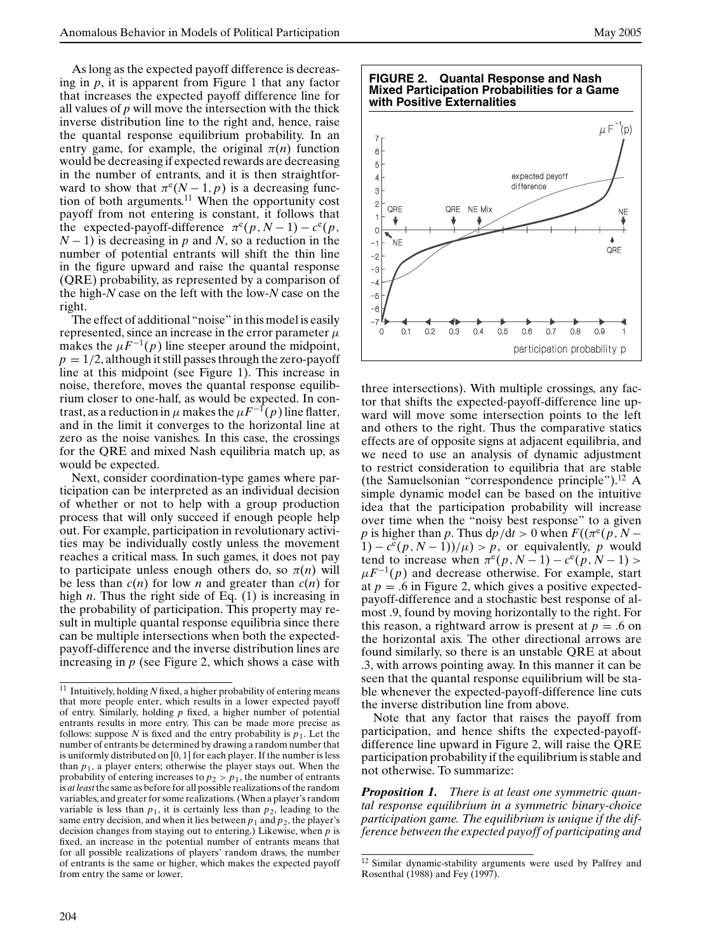As long as the expected payoff difference is decreasing in *p*, it is apparent from Figure 1 that any factor that increases the expected payoff difference line for all values of *p* will move the intersection with the thick inverse distribution line to the right and, hence, raise the quantal response equilibrium probability. In an entry game, for example, the original  $\pi(n)$  function would be decreasing if expected rewards are decreasing in the number of entrants, and it is then straightforward to show that  $\pi^{e}(N-1, p)$  is a decreasing function of both arguments.<sup>11</sup> When the opportunity cost payoff from not entering is constant, it follows that the expected-payoff-difference  $\pi^{e}(p, N-1) - c^{e}(p, N-1)$ *N* − 1) is decreasing in *p* and *N*, so a reduction in the number of potential entrants will shift the thin line in the figure upward and raise the quantal response (QRE) probability, as represented by a comparison of the high-*N* case on the left with the low-*N* case on the right.

The effect of additional "noise" in this model is easily represented, since an increase in the error parameter  $\mu$ makes the  $\mu F^{-1}(p)$  line steeper around the midpoint,  $p = 1/2$ , although it still passes through the zero-payoff line at this midpoint (see Figure 1). This increase in noise, therefore, moves the quantal response equilibrium closer to one-half, as would be expected. In contrast, as a reduction in  $\mu$  makes the  $\mu F^{-1}(p)$  line flatter, and in the limit it converges to the horizontal line at zero as the noise vanishes. In this case, the crossings for the QRE and mixed Nash equilibria match up, as would be expected.

Next, consider coordination-type games where participation can be interpreted as an individual decision of whether or not to help with a group production process that will only succeed if enough people help out. For example, participation in revolutionary activities may be individually costly unless the movement reaches a critical mass. In such games, it does not pay to participate unless enough others do, so *π*(*n*) will be less than  $c(n)$  for low *n* and greater than  $c(n)$  for high *n*. Thus the right side of Eq. (1) is increasing in the probability of participation. This property may result in multiple quantal response equilibria since there can be multiple intersections when both the expectedpayoff-difference and the inverse distribution lines are increasing in *p* (see Figure 2, which shows a case with



three intersections). With multiple crossings, any factor that shifts the expected-payoff-difference line upward will move some intersection points to the left and others to the right. Thus the comparative statics effects are of opposite signs at adjacent equilibria, and we need to use an analysis of dynamic adjustment to restrict consideration to equilibria that are stable (the Samuelsonian "correspondence principle").<sup>12</sup> A simple dynamic model can be based on the intuitive idea that the participation probability will increase over time when the "noisy best response" to a given *p* is higher than *p*. Thus  $dp/dt > 0$  when  $F((\pi^e(p, N -$ 1)  $-c^{e}(p, N-1)/\mu$  > p, or equivalently, p would tend to increase when  $\pi^{e}(p, N-1) - c^{e}(p, N-1)$  $\mu F^{-1}(p)$  and decrease otherwise. For example, start at  $p = 0.6$  in Figure 2, which gives a positive expectedpayoff-difference and a stochastic best response of almost .9, found by moving horizontally to the right. For this reason, a rightward arrow is present at  $p = .6$  on the horizontal axis. The other directional arrows are found similarly, so there is an unstable QRE at about .3, with arrows pointing away. In this manner it can be seen that the quantal response equilibrium will be stable whenever the expected-payoff-difference line cuts the inverse distribution line from above.

Note that any factor that raises the payoff from participation, and hence shifts the expected-payoffdifference line upward in Figure 2, will raise the QRE participation probability if the equilibrium is stable and not otherwise. To summarize:

*Proposition 1. There is at least one symmetric quantal response equilibrium in a symmetric binary-choice participation game. The equilibrium is unique if the difference between the expected payoff of participating and*

<sup>11</sup> Intuitively, holding *N* fixed, a higher probability of entering means that more people enter, which results in a lower expected payoff of entry. Similarly, holding *p* fixed, a higher number of potential entrants results in more entry. This can be made more precise as follows: suppose  $N$  is fixed and the entry probability is  $p_1$ . Let the number of entrants be determined by drawing a random number that is uniformly distributed on [0, 1] for each player. If the number is less than  $p_1$ , a player enters; otherwise the player stays out. When the probability of entering increases to  $p_2 > p_1$ , the number of entrants is *at least*the same as before for all possible realizations of the random variables, and greater for some realizations. (When a player's random variable is less than  $p_1$ , it is certainly less than  $p_2$ , leading to the same entry decision, and when it lies between  $p_1$  and  $p_2$ , the player's decision changes from staying out to entering.) Likewise, when *p* is fixed, an increase in the potential number of entrants means that for all possible realizations of players' random draws, the number of entrants is the same or higher, which makes the expected payoff from entry the same or lower.

<sup>&</sup>lt;sup>12</sup> Similar dynamic-stability arguments were used by Palfrey and Rosenthal (1988) and Fey (1997).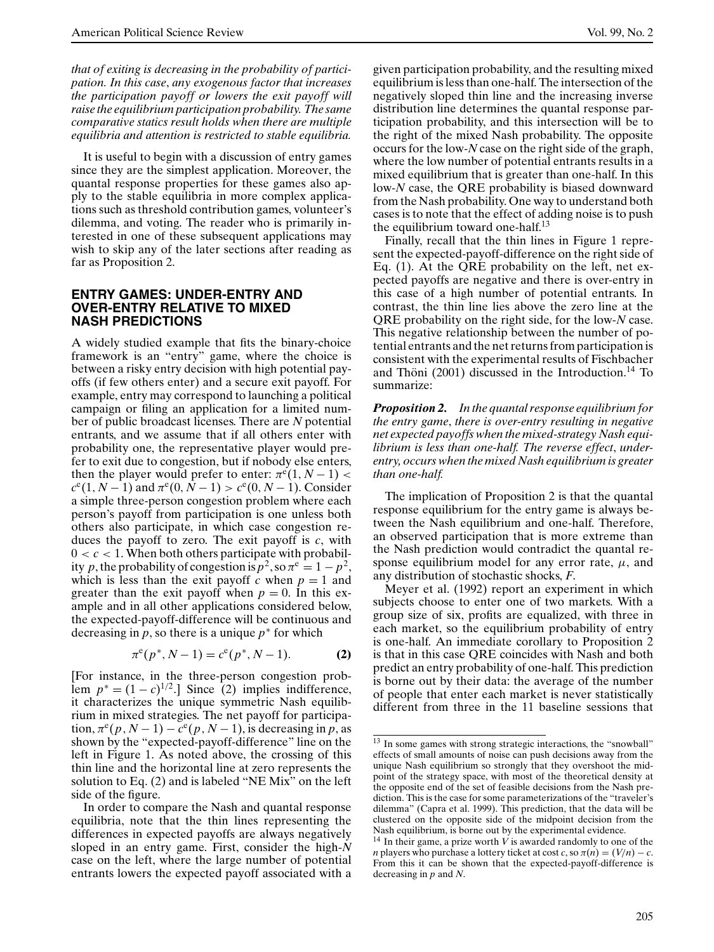*that of exiting is decreasing in the probability of participation. In this case*, *any exogenous factor that increases the participation payoff or lowers the exit payoff will raise the equilibrium participation probability. The same comparative statics result holds when there are multiple equilibria and attention is restricted to stable equilibria.*

It is useful to begin with a discussion of entry games since they are the simplest application. Moreover, the quantal response properties for these games also apply to the stable equilibria in more complex applications such as threshold contribution games, volunteer's dilemma, and voting. The reader who is primarily interested in one of these subsequent applications may wish to skip any of the later sections after reading as far as Proposition 2.

#### **ENTRY GAMES: UNDER-ENTRY AND OVER-ENTRY RELATIVE TO MIXED NASH PREDICTIONS**

A widely studied example that fits the binary-choice framework is an "entry" game, where the choice is between a risky entry decision with high potential payoffs (if few others enter) and a secure exit payoff. For example, entry may correspond to launching a political campaign or filing an application for a limited number of public broadcast licenses. There are *N* potential entrants, and we assume that if all others enter with probability one, the representative player would prefer to exit due to congestion, but if nobody else enters, then the player would prefer to enter:  $\pi^{e}(1, N - 1)$  <  $c^{e}(1, N - 1)$  and  $\pi^{e}(0, N - 1) > c^{e}(0, N - 1)$ . Consider a simple three-person congestion problem where each person's payoff from participation is one unless both others also participate, in which case congestion reduces the payoff to zero. The exit payoff is *c*, with  $0 < c < 1$ . When both others participate with probability *p*, the probability of congestion is  $p^2$ , so  $\pi^e = 1 - p^2$ , which is less than the exit payoff *c* when  $p = 1$  and greater than the exit payoff when  $p = 0$ . In this example and in all other applications considered below, the expected-payoff-difference will be continuous and decreasing in  $p$ , so there is a unique  $p^*$  for which

$$
\pi^e(p^*, N - 1) = c^e(p^*, N - 1).
$$
 (2)

[For instance, in the three-person congestion problem  $p^* = (1 - c)^{1/2}$ .] Since (2) implies indifference, it characterizes the unique symmetric Nash equilibrium in mixed strategies. The net payoff for participa- $\tau^e(p, N-1) - c^e(p, N-1)$ , is decreasing in p, as shown by the "expected-payoff-difference" line on the left in Figure 1. As noted above, the crossing of this thin line and the horizontal line at zero represents the solution to Eq. (2) and is labeled "NE Mix" on the left side of the figure.

In order to compare the Nash and quantal response equilibria, note that the thin lines representing the differences in expected payoffs are always negatively sloped in an entry game. First, consider the high-*N* case on the left, where the large number of potential entrants lowers the expected payoff associated with a

given participation probability, and the resulting mixed equilibrium is less than one-half. The intersection of the negatively sloped thin line and the increasing inverse distribution line determines the quantal response participation probability, and this intersection will be to the right of the mixed Nash probability. The opposite occurs for the low-*N* case on the right side of the graph, where the low number of potential entrants results in a mixed equilibrium that is greater than one-half. In this low-*N* case, the QRE probability is biased downward from the Nash probability. One way to understand both cases is to note that the effect of adding noise is to push the equilibrium toward one-half. $13$ 

Finally, recall that the thin lines in Figure 1 represent the expected-payoff-difference on the right side of Eq. (1). At the QRE probability on the left, net expected payoffs are negative and there is over-entry in this case of a high number of potential entrants. In contrast, the thin line lies above the zero line at the QRE probability on the right side, for the low-*N* case. This negative relationship between the number of potential entrants and the net returns from participation is consistent with the experimental results of Fischbacher and Thöni  $(2001)$  discussed in the Introduction.<sup>14</sup> To summarize:

*Proposition 2. In the quantal response equilibrium for the entry game*, *there is over-entry resulting in negative net expected payoffs when the mixed-strategy Nash equilibrium is less than one-half. The reverse effect*, *underentry, occurs when the mixed Nash equilibrium is greater than one-half.*

The implication of Proposition 2 is that the quantal response equilibrium for the entry game is always between the Nash equilibrium and one-half. Therefore, an observed participation that is more extreme than the Nash prediction would contradict the quantal response equilibrium model for any error rate,  $\mu$ , and any distribution of stochastic shocks, *F*.

Meyer et al. (1992) report an experiment in which subjects choose to enter one of two markets. With a group size of six, profits are equalized, with three in each market, so the equilibrium probability of entry is one-half. An immediate corollary to Proposition 2 is that in this case QRE coincides with Nash and both predict an entry probability of one-half. This prediction is borne out by their data: the average of the number of people that enter each market is never statistically different from three in the 11 baseline sessions that

<sup>&</sup>lt;sup>13</sup> In some games with strong strategic interactions, the "snowball" effects of small amounts of noise can push decisions away from the unique Nash equilibrium so strongly that they overshoot the midpoint of the strategy space, with most of the theoretical density at the opposite end of the set of feasible decisions from the Nash prediction. This is the case for some parameterizations of the "traveler's dilemma" (Capra et al. 1999). This prediction, that the data will be clustered on the opposite side of the midpoint decision from the Nash equilibrium, is borne out by the experimental evidence.

<sup>14</sup> In their game, a prize worth *V* is awarded randomly to one of the *n* players who purchase a lottery ticket at cost  $c$ , so  $\pi(n) = (V/n) - c$ . From this it can be shown that the expected-payoff-difference is decreasing in *p* and *N*.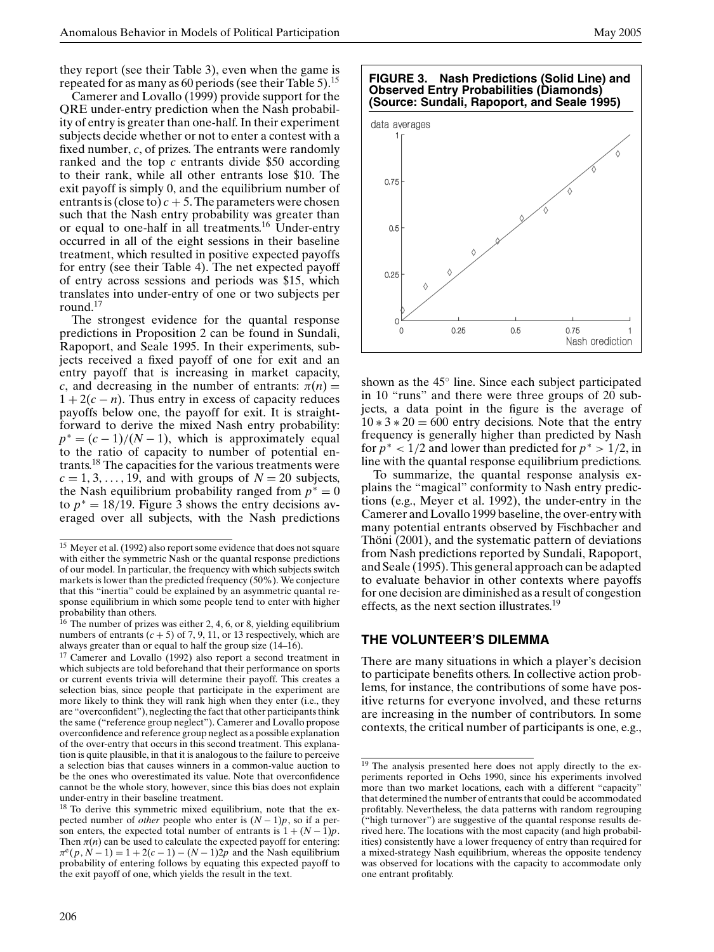they report (see their Table 3), even when the game is repeated for as many as 60 periods (see their Table 5).<sup>15</sup>

Camerer and Lovallo (1999) provide support for the QRE under-entry prediction when the Nash probability of entry is greater than one-half. In their experiment subjects decide whether or not to enter a contest with a fixed number, *c*, of prizes. The entrants were randomly ranked and the top *c* entrants divide \$50 according to their rank, while all other entrants lose \$10. The exit payoff is simply 0, and the equilibrium number of entrants is (close to)  $c + 5$ . The parameters were chosen such that the Nash entry probability was greater than or equal to one-half in all treatments.<sup>16</sup> Under-entry occurred in all of the eight sessions in their baseline treatment, which resulted in positive expected payoffs for entry (see their Table 4). The net expected payoff of entry across sessions and periods was \$15, which translates into under-entry of one or two subjects per round. $^{17}$ 

The strongest evidence for the quantal response predictions in Proposition 2 can be found in Sundali, Rapoport, and Seale 1995. In their experiments, subjects received a fixed payoff of one for exit and an entry payoff that is increasing in market capacity, *c*, and decreasing in the number of entrants:  $\pi(n)$  =  $1 + 2(c - n)$ . Thus entry in excess of capacity reduces payoffs below one, the payoff for exit. It is straightforward to derive the mixed Nash entry probability:  $p^* = (c-1)/(N-1)$ , which is approximately equal to the ratio of capacity to number of potential entrants.<sup>18</sup> The capacities for the various treatments were  $c = 1, 3, \ldots, 19$ , and with groups of  $N = 20$  subjects, the Nash equilibrium probability ranged from  $p^* = 0$ to *p*<sup>∗</sup> = 18*/*19. Figure 3 shows the entry decisions averaged over all subjects, with the Nash predictions



shown as the 45◦ line. Since each subject participated in 10 "runs" and there were three groups of 20 subjects, a data point in the figure is the average of  $10 * 3 * 20 = 600$  entry decisions. Note that the entry frequency is generally higher than predicted by Nash for  $p^*$  < 1/2 and lower than predicted for  $p^*$  > 1/2, in line with the quantal response equilibrium predictions.

To summarize, the quantal response analysis explains the "magical" conformity to Nash entry predictions (e.g., Meyer et al. 1992), the under-entry in the Camerer and Lovallo 1999 baseline, the over-entry with many potential entrants observed by Fischbacher and Thoni  $(2001)$ , and the systematic pattern of deviations from Nash predictions reported by Sundali, Rapoport, and Seale (1995). This general approach can be adapted to evaluate behavior in other contexts where payoffs for one decision are diminished as a result of congestion effects, as the next section illustrates.<sup>19</sup>

## **THE VOLUNTEER'S DILEMMA**

There are many situations in which a player's decision to participate benefits others. In collective action problems, for instance, the contributions of some have positive returns for everyone involved, and these returns are increasing in the number of contributors. In some contexts, the critical number of participants is one, e.g.,

<sup>&</sup>lt;sup>15</sup> Meyer et al. (1992) also report some evidence that does not square with either the symmetric Nash or the quantal response predictions of our model. In particular, the frequency with which subjects switch markets is lower than the predicted frequency (50%). We conjecture that this "inertia" could be explained by an asymmetric quantal response equilibrium in which some people tend to enter with higher probability than others.

<sup>&</sup>lt;sup>16</sup> The number of prizes was either 2, 4, 6, or 8, yielding equilibrium numbers of entrants  $(c + 5)$  of 7, 9, 11, or 13 respectively, which are always greater than or equal to half the group size (14–16).

<sup>&</sup>lt;sup>17</sup> Camerer and Lovallo (1992) also report a second treatment in which subjects are told beforehand that their performance on sports or current events trivia will determine their payoff. This creates a selection bias, since people that participate in the experiment are more likely to think they will rank high when they enter (i.e., they are "overconfident"), neglecting the fact that other participants think the same ("reference group neglect"). Camerer and Lovallo propose overconfidence and reference group neglect as a possible explanation of the over-entry that occurs in this second treatment. This explanation is quite plausible, in that it is analogous to the failure to perceive a selection bias that causes winners in a common-value auction to be the ones who overestimated its value. Note that overconfidence cannot be the whole story, however, since this bias does not explain under-entry in their baseline treatment.

<sup>18</sup> To derive this symmetric mixed equilibrium, note that the expected number of *other* people who enter is  $(N-1)p$ , so if a person enters, the expected total number of entrants is  $1 + (N - 1)p$ . Then  $\pi(n)$  can be used to calculate the expected payoff for entering:  $\pi^{e}(p, N-1) = 1 + 2(c - 1) - (N - 1)2p$  and the Nash equilibrium probability of entering follows by equating this expected payoff to the exit payoff of one, which yields the result in the text.

<sup>&</sup>lt;sup>19</sup> The analysis presented here does not apply directly to the experiments reported in Ochs 1990, since his experiments involved more than two market locations, each with a different "capacity" that determined the number of entrants that could be accommodated profitably. Nevertheless, the data patterns with random regrouping ("high turnover") are suggestive of the quantal response results derived here. The locations with the most capacity (and high probabilities) consistently have a lower frequency of entry than required for a mixed-strategy Nash equilibrium, whereas the opposite tendency was observed for locations with the capacity to accommodate only one entrant profitably.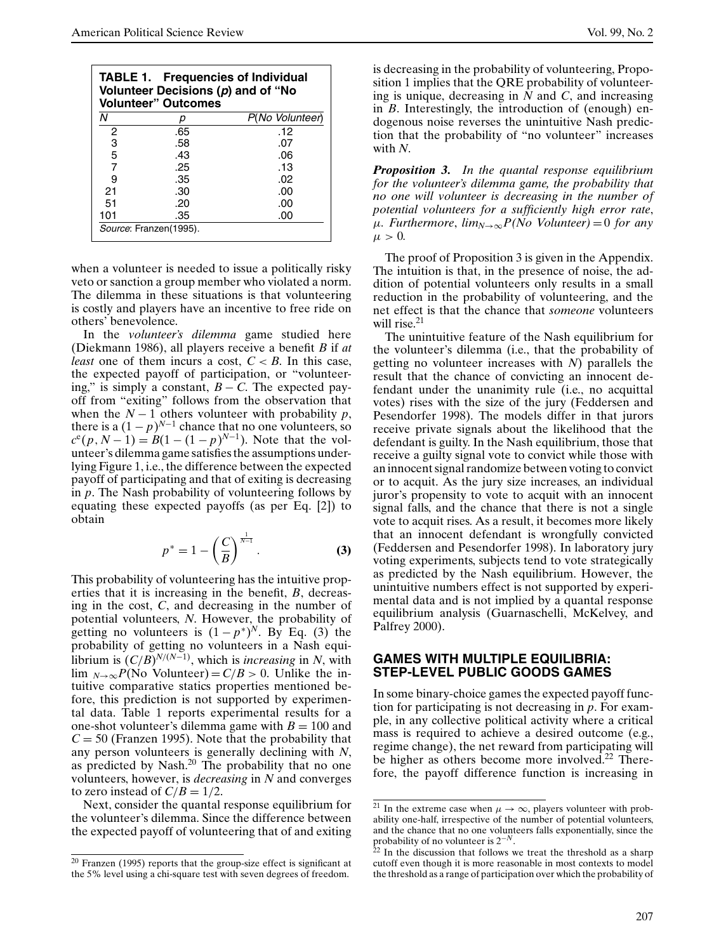| <b>TABLE 1. Frequencies of Individual</b><br>Volunteer Decisions (p) and of "No<br><b>Volunteer" Outcomes</b> |     |                 |
|---------------------------------------------------------------------------------------------------------------|-----|-----------------|
| N                                                                                                             | р   | P(No Volunteer) |
| $\overline{2}$                                                                                                | .65 | .12             |
| 3                                                                                                             | .58 | .07             |
| 5                                                                                                             | .43 | .06             |
| 7                                                                                                             | .25 | .13             |
| 9                                                                                                             | .35 | .02             |
| 21                                                                                                            | .30 | .00             |
| 51                                                                                                            | .20 | .00             |
| 101                                                                                                           | .35 | .00             |
| Source: Franzen(1995).                                                                                        |     |                 |

when a volunteer is needed to issue a politically risky veto or sanction a group member who violated a norm. The dilemma in these situations is that volunteering is costly and players have an incentive to free ride on others' benevolence.

In the *volunteer's dilemma* game studied here (Diekmann 1986), all players receive a benefit *B* if *at least* one of them incurs a cost,  $C < B$ . In this case, the expected payoff of participation, or "volunteering," is simply a constant,  $B - C$ . The expected payoff from "exiting" follows from the observation that when the  $N-1$  others volunteer with probability *p*, there is a  $(1-p)^{N-1}$  chance that no one volunteers, so  $c^{e}(p, N-1) = B(1 - (1 - p)^{N-1})$ . Note that the volunteer's dilemma game satisfies the assumptions underlying Figure 1, i.e., the difference between the expected payoff of participating and that of exiting is decreasing in *p*. The Nash probability of volunteering follows by equating these expected payoffs (as per Eq. [2]) to obtain

$$
p^* = 1 - \left(\frac{C}{B}\right)^{\frac{1}{N-1}}.
$$
 (3)

This probability of volunteering has the intuitive properties that it is increasing in the benefit, *B*, decreasing in the cost, *C*, and decreasing in the number of potential volunteers, *N*. However, the probability of getting no volunteers is  $(1 - p^*)^N$ . By Eq. (3) the probability of getting no volunteers in a Nash equilibrium is  $(C/B)^{N/(N-1)}$ , which is *increasing* in *N*, with lim  $_{N\to\infty}P(No \text{ Volunteer}) = C/B > 0$ . Unlike the intuitive comparative statics properties mentioned before, this prediction is not supported by experimental data. Table 1 reports experimental results for a one-shot volunteer's dilemma game with  $B = 100$  and  $C = 50$  (Franzen 1995). Note that the probability that any person volunteers is generally declining with *N*, as predicted by Nash. $20$  The probability that no one volunteers, however, is *decreasing* in *N* and converges to zero instead of  $C/B = 1/2$ .

Next, consider the quantal response equilibrium for the volunteer's dilemma. Since the difference between the expected payoff of volunteering that of and exiting is decreasing in the probability of volunteering, Proposition 1 implies that the QRE probability of volunteering is unique, decreasing in *N* and *C*, and increasing in *B*. Interestingly, the introduction of (enough) endogenous noise reverses the unintuitive Nash prediction that the probability of "no volunteer" increases with *N*.

*Proposition 3. In the quantal response equilibrium for the volunteer's dilemma game, the probability that no one will volunteer is decreasing in the number of potential volunteers for a sufficiently high error rate*,  $\mu$ *. Furthermore,*  $\lim_{N\to\infty} P(No \text{ Volumteer}) = 0$  *for any*  $\mu > 0$ .

The proof of Proposition 3 is given in the Appendix. The intuition is that, in the presence of noise, the addition of potential volunteers only results in a small reduction in the probability of volunteering, and the net effect is that the chance that *someone* volunteers will rise. $21$ 

The unintuitive feature of the Nash equilibrium for the volunteer's dilemma (i.e., that the probability of getting no volunteer increases with *N*) parallels the result that the chance of convicting an innocent defendant under the unanimity rule (i.e., no acquittal votes) rises with the size of the jury (Feddersen and Pesendorfer 1998). The models differ in that jurors receive private signals about the likelihood that the defendant is guilty. In the Nash equilibrium, those that receive a guilty signal vote to convict while those with an innocent signal randomize between voting to convict or to acquit. As the jury size increases, an individual juror's propensity to vote to acquit with an innocent signal falls, and the chance that there is not a single vote to acquit rises. As a result, it becomes more likely that an innocent defendant is wrongfully convicted (Feddersen and Pesendorfer 1998). In laboratory jury voting experiments, subjects tend to vote strategically as predicted by the Nash equilibrium. However, the unintuitive numbers effect is not supported by experimental data and is not implied by a quantal response equilibrium analysis (Guarnaschelli, McKelvey, and Palfrey 2000).

## **GAMES WITH MULTIPLE EQUILIBRIA: STEP-LEVEL PUBLIC GOODS GAMES**

In some binary-choice games the expected payoff function for participating is not decreasing in *p*. For example, in any collective political activity where a critical mass is required to achieve a desired outcome (e.g., regime change), the net reward from participating will be higher as others become more involved.<sup>22</sup> Therefore, the payoff difference function is increasing in

 $20$  Franzen (1995) reports that the group-size effect is significant at the 5% level using a chi-square test with seven degrees of freedom.

<sup>&</sup>lt;sup>21</sup> In the extreme case when  $\mu \to \infty$ , players volunteer with probability one-half, irrespective of the number of potential volunteers, and the chance that no one volunteers falls exponentially, since the probability of no volunteer is 2−*N*.

 $22 \text{ In the discussion that follows we treat the threshold as a sharp.}$ cutoff even though it is more reasonable in most contexts to model the threshold as a range of participation over which the probability of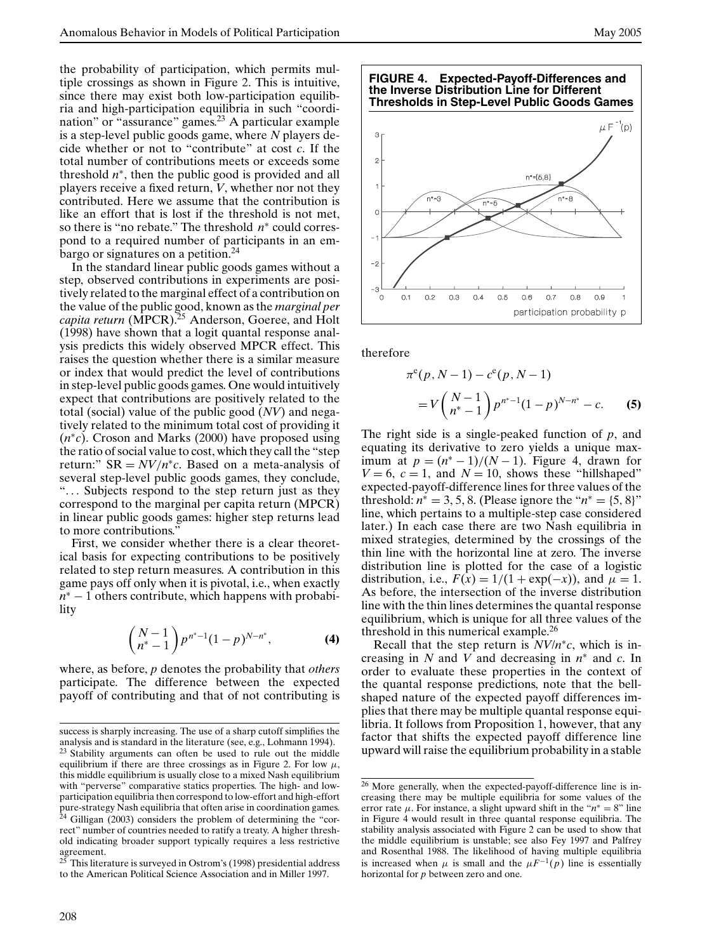the probability of participation, which permits multiple crossings as shown in Figure 2. This is intuitive, since there may exist both low-participation equilibria and high-participation equilibria in such "coordination" or "assurance" games.<sup>23</sup> A particular example is a step-level public goods game, where *N* players decide whether or not to "contribute" at cost *c*. If the total number of contributions meets or exceeds some threshold *n*<sup>∗</sup>, then the public good is provided and all players receive a fixed return, *V*, whether nor not they contributed. Here we assume that the contribution is like an effort that is lost if the threshold is not met, so there is "no rebate." The threshold *n*<sup>∗</sup> could correspond to a required number of participants in an embargo or signatures on a petition.<sup>24</sup>

In the standard linear public goods games without a step, observed contributions in experiments are positively related to the marginal effect of a contribution on the value of the public good, known as the *marginal per capita return* (MPCR).<sup>25</sup> Anderson, Goeree, and Holt (1998) have shown that a logit quantal response analysis predicts this widely observed MPCR effect. This raises the question whether there is a similar measure or index that would predict the level of contributions in step-level public goods games. One would intuitively expect that contributions are positively related to the total (social) value of the public good (*NV*) and negatively related to the minimum total cost of providing it (*n*<sup>∗</sup>*c*). Croson and Marks (2000) have proposed using the ratio of social value to cost, which they call the "step return:"  $SR = NV/n<sup>*</sup>c$ . Based on a meta-analysis of several step-level public goods games, they conclude, "*...* Subjects respond to the step return just as they correspond to the marginal per capita return (MPCR) in linear public goods games: higher step returns lead to more contributions."

First, we consider whether there is a clear theoretical basis for expecting contributions to be positively related to step return measures. A contribution in this game pays off only when it is pivotal, i.e., when exactly *n*<sup>∗</sup> − 1 others contribute, which happens with probability

$$
\binom{N-1}{n^*-1} p^{n^*-1} (1-p)^{N-n^*}, \tag{4}
$$

where, as before, *p* denotes the probability that *others* participate. The difference between the expected payoff of contributing and that of not contributing is



therefore

$$
\pi^{e}(p, N-1) - c^{e}(p, N-1)
$$
  
=  $V \binom{N-1}{n^{*}-1} p^{n^{*}-1} (1-p)^{N-n^{*}} - c.$  (5)

The right side is a single-peaked function of *p*, and equating its derivative to zero yields a unique maximum at  $p = (n^* - 1)/(N - 1)$ . Figure 4, drawn for  $V = 6$ ,  $c = 1$ , and  $N = 10$ , shows these "hillshaped" expected-payoff-difference lines for three values of the threshold:  $n^* = 3, 5, 8$ . (Please ignore the " $n^* = \{5, 8\}$ " line, which pertains to a multiple-step case considered later.) In each case there are two Nash equilibria in mixed strategies, determined by the crossings of the thin line with the horizontal line at zero. The inverse distribution line is plotted for the case of a logistic distribution, i.e.,  $F(x) = 1/(1 + \exp(-x))$ , and  $\mu = 1$ . As before, the intersection of the inverse distribution line with the thin lines determines the quantal response equilibrium, which is unique for all three values of the threshold in this numerical example.<sup>26</sup>

Recall that the step return is *NV*/*n*<sup>∗</sup>*c*, which is increasing in *N* and *V* and decreasing in *n*<sup>∗</sup> and *c*. In order to evaluate these properties in the context of the quantal response predictions, note that the bellshaped nature of the expected payoff differences implies that there may be multiple quantal response equilibria. It follows from Proposition 1, however, that any factor that shifts the expected payoff difference line upward will raise the equilibrium probability in a stable

success is sharply increasing. The use of a sharp cutoff simplifies the analysis and is standard in the literature (see, e.g., Lohmann 1994).

<sup>&</sup>lt;sup>23</sup> Stability arguments can often be used to rule out the middle equilibrium if there are three crossings as in Figure 2. For low  $\mu$ , this middle equilibrium is usually close to a mixed Nash equilibrium with "perverse" comparative statics properties. The high- and lowparticipation equilibria then correspond to low-effort and high-effort pure-strategy Nash equilibria that often arise in coordination games. <sup>24</sup> Gilligan (2003) considers the problem of determining the "correct" number of countries needed to ratify a treaty. A higher threshold indicating broader support typically requires a less restrictive agreement.

 $25$  This literature is surveyed in Ostrom's (1998) presidential address to the American Political Science Association and in Miller 1997.

<sup>&</sup>lt;sup>26</sup> More generally, when the expected-payoff-difference line is increasing there may be multiple equilibria for some values of the error rate  $\mu$ . For instance, a slight upward shift in the " $n^* = 8$ " line in Figure 4 would result in three quantal response equilibria. The stability analysis associated with Figure 2 can be used to show that the middle equilibrium is unstable; see also Fey 1997 and Palfrey and Rosenthal 1988. The likelihood of having multiple equilibria is increased when  $\mu$  is small and the  $\mu F^{-1}(p)$  line is essentially horizontal for *p* between zero and one.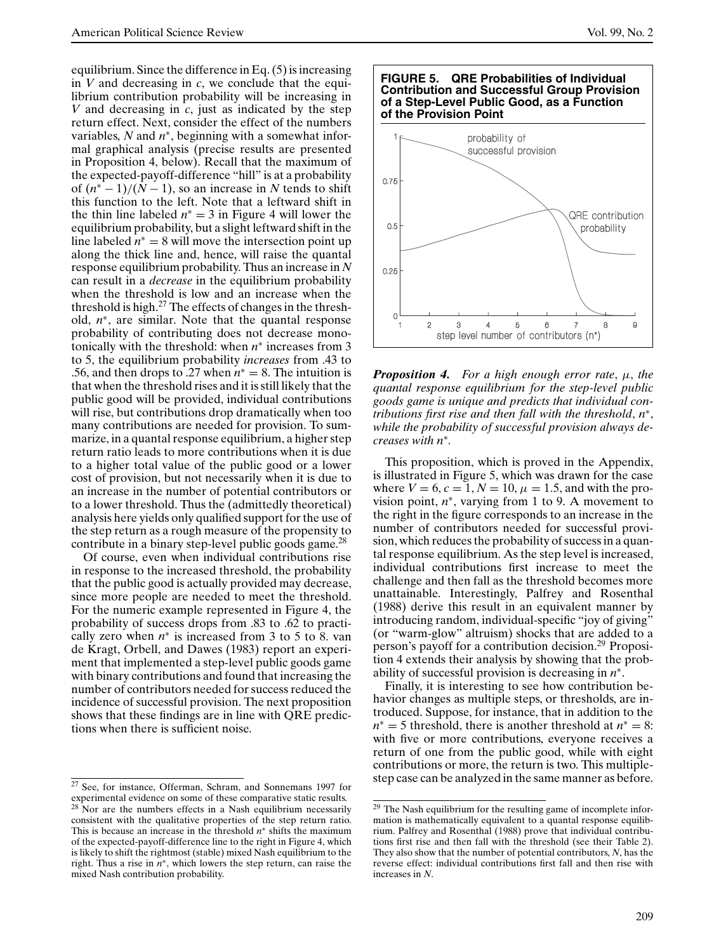equilibrium. Since the difference in Eq. (5) is increasing in *V* and decreasing in *c*, we conclude that the equilibrium contribution probability will be increasing in *V* and decreasing in *c*, just as indicated by the step return effect. Next, consider the effect of the numbers variables, *N* and *n*<sup>∗</sup>, beginning with a somewhat informal graphical analysis (precise results are presented in Proposition 4, below). Recall that the maximum of the expected-payoff-difference "hill" is at a probability of  $(n^* - 1)/(N - 1)$ , so an increase in N tends to shift this function to the left. Note that a leftward shift in the thin line labeled  $n<sup>*</sup> = 3$  in Figure 4 will lower the equilibrium probability, but a slight leftward shift in the line labeled  $n<sup>*</sup> = 8$  will move the intersection point up along the thick line and, hence, will raise the quantal response equilibrium probability. Thus an increase in *N* can result in a *decrease* in the equilibrium probability when the threshold is low and an increase when the threshold is high.<sup>27</sup> The effects of changes in the threshold, *n*<sup>∗</sup>, are similar. Note that the quantal response probability of contributing does not decrease monotonically with the threshold: when *n*<sup>∗</sup> increases from 3 to 5, the equilibrium probability *increases* from .43 to .56, and then drops to .27 when  $n<sup>*</sup> = 8$ . The intuition is that when the threshold rises and it is still likely that the public good will be provided, individual contributions will rise, but contributions drop dramatically when too many contributions are needed for provision. To summarize, in a quantal response equilibrium, a higher step return ratio leads to more contributions when it is due to a higher total value of the public good or a lower cost of provision, but not necessarily when it is due to an increase in the number of potential contributors or to a lower threshold. Thus the (admittedly theoretical) analysis here yields only qualified support for the use of the step return as a rough measure of the propensity to contribute in a binary step-level public goods game.<sup>28</sup>

Of course, even when individual contributions rise in response to the increased threshold, the probability that the public good is actually provided may decrease, since more people are needed to meet the threshold. For the numeric example represented in Figure 4, the probability of success drops from .83 to .62 to practically zero when  $n^*$  is increased from 3 to 5 to 8. van de Kragt, Orbell, and Dawes (1983) report an experiment that implemented a step-level public goods game with binary contributions and found that increasing the number of contributors needed for success reduced the incidence of successful provision. The next proposition shows that these findings are in line with QRE predictions when there is sufficient noise.



*Proposition 4. For a high enough error rate,*  $\mu$ *, the quantal response equilibrium for the step-level public goods game is unique and predicts that individual contributions first rise and then fall with the threshold*, *n*<sup>∗</sup>, *while the probability of successful provision always decreases with n*<sup>∗</sup>*.*

This proposition, which is proved in the Appendix, is illustrated in Figure 5, which was drawn for the case where  $V = 6$ ,  $c = 1$ ,  $N = 10$ ,  $\mu = 1.5$ , and with the provision point, *n*<sup>∗</sup>, varying from 1 to 9. A movement to the right in the figure corresponds to an increase in the number of contributors needed for successful provision, which reduces the probability of success in a quantal response equilibrium. As the step level is increased, individual contributions first increase to meet the challenge and then fall as the threshold becomes more unattainable. Interestingly, Palfrey and Rosenthal (1988) derive this result in an equivalent manner by introducing random, individual-specific "joy of giving" (or "warm-glow" altruism) shocks that are added to a person's payoff for a contribution decision.<sup>29</sup> Proposition 4 extends their analysis by showing that the probability of successful provision is decreasing in *n*<sup>∗</sup>.

Finally, it is interesting to see how contribution behavior changes as multiple steps, or thresholds, are introduced. Suppose, for instance, that in addition to the *n*<sup>∗</sup> = 5 threshold, there is another threshold at *n*<sup>∗</sup> = 8: with five or more contributions, everyone receives a return of one from the public good, while with eight contributions or more, the return is two. This multiplestep case can be analyzed in the same manner as before.

<sup>27</sup> See, for instance, Offerman, Schram, and Sonnemans 1997 for experimental evidence on some of these comparative static results.  $28$  Nor are the numbers effects in a Nash equilibrium necessarily consistent with the qualitative properties of the step return ratio. This is because an increase in the threshold *n*<sup>∗</sup> shifts the maximum of the expected-payoff-difference line to the right in Figure 4, which is likely to shift the rightmost (stable) mixed Nash equilibrium to the right. Thus a rise in *n*∗, which lowers the step return, can raise the mixed Nash contribution probability.

<sup>&</sup>lt;sup>29</sup> The Nash equilibrium for the resulting game of incomplete information is mathematically equivalent to a quantal response equilibrium. Palfrey and Rosenthal (1988) prove that individual contributions first rise and then fall with the threshold (see their Table 2). They also show that the number of potential contributors, *N*, has the reverse effect: individual contributions first fall and then rise with increases in *N*.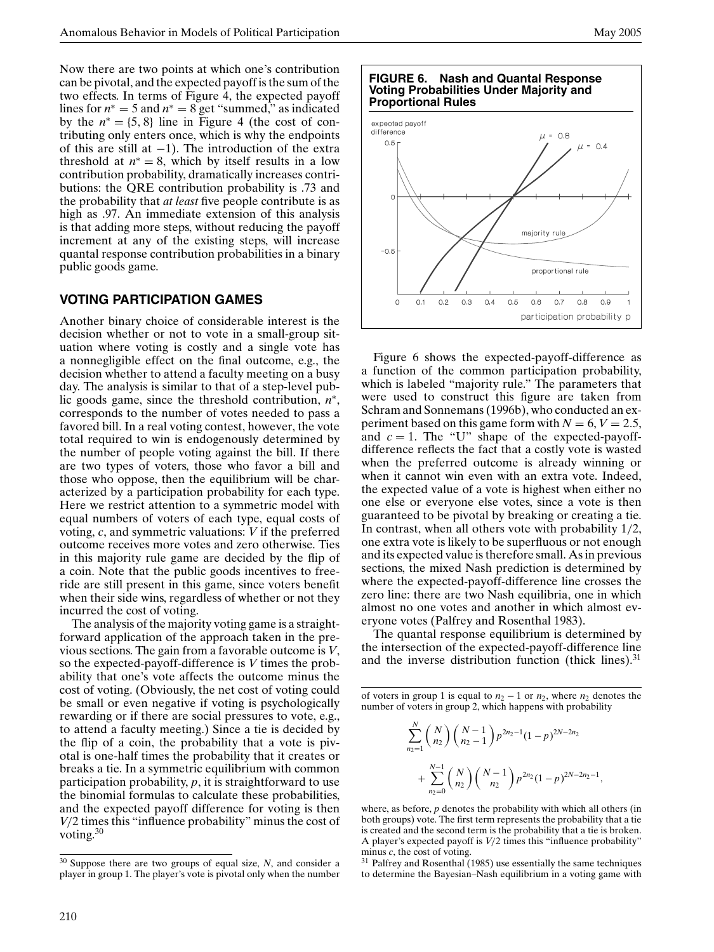Now there are two points at which one's contribution can be pivotal, and the expected payoff is the sum of the two effects. In terms of Figure 4, the expected payoff lines for  $n^* = 5$  and  $n^* = 8$  get "summed," as indicated by the  $n^* = \{5, 8\}$  line in Figure 4 (the cost of contributing only enters once, which is why the endpoints of this are still at −1). The introduction of the extra threshold at  $n<sup>*</sup> = 8$ , which by itself results in a low contribution probability, dramatically increases contributions: the QRE contribution probability is .73 and the probability that *at least* five people contribute is as high as .97. An immediate extension of this analysis is that adding more steps, without reducing the payoff increment at any of the existing steps, will increase quantal response contribution probabilities in a binary public goods game.

## **VOTING PARTICIPATION GAMES**

Another binary choice of considerable interest is the decision whether or not to vote in a small-group situation where voting is costly and a single vote has a nonnegligible effect on the final outcome, e.g., the decision whether to attend a faculty meeting on a busy day. The analysis is similar to that of a step-level public goods game, since the threshold contribution, *n*<sup>∗</sup>, corresponds to the number of votes needed to pass a favored bill. In a real voting contest, however, the vote total required to win is endogenously determined by the number of people voting against the bill. If there are two types of voters, those who favor a bill and those who oppose, then the equilibrium will be characterized by a participation probability for each type. Here we restrict attention to a symmetric model with equal numbers of voters of each type, equal costs of voting, *c*, and symmetric valuations: *V* if the preferred outcome receives more votes and zero otherwise. Ties in this majority rule game are decided by the flip of a coin. Note that the public goods incentives to freeride are still present in this game, since voters benefit when their side wins, regardless of whether or not they incurred the cost of voting.

The analysis of the majority voting game is a straightforward application of the approach taken in the previous sections. The gain from a favorable outcome is *V*, so the expected-payoff-difference is *V* times the probability that one's vote affects the outcome minus the cost of voting. (Obviously, the net cost of voting could be small or even negative if voting is psychologically rewarding or if there are social pressures to vote, e.g., to attend a faculty meeting.) Since a tie is decided by the flip of a coin, the probability that a vote is pivotal is one-half times the probability that it creates or breaks a tie. In a symmetric equilibrium with common participation probability, *p*, it is straightforward to use the binomial formulas to calculate these probabilities, and the expected payoff difference for voting is then *V/*2 times this "influence probability" minus the cost of voting. $30$ 



Figure 6 shows the expected-payoff-difference as a function of the common participation probability, which is labeled "majority rule." The parameters that were used to construct this figure are taken from Schram and Sonnemans (1996b), who conducted an experiment based on this game form with  $N = 6, V = 2.5$ , and  $c = 1$ . The "U" shape of the expected-payoffdifference reflects the fact that a costly vote is wasted when the preferred outcome is already winning or when it cannot win even with an extra vote. Indeed, the expected value of a vote is highest when either no one else or everyone else votes, since a vote is then guaranteed to be pivotal by breaking or creating a tie. In contrast, when all others vote with probability 1*/*2, one extra vote is likely to be superfluous or not enough and its expected value is therefore small. As in previous sections, the mixed Nash prediction is determined by where the expected-payoff-difference line crosses the zero line: there are two Nash equilibria, one in which almost no one votes and another in which almost everyone votes (Palfrey and Rosenthal 1983).

The quantal response equilibrium is determined by the intersection of the expected-payoff-difference line and the inverse distribution function (thick lines). $31$ 

of voters in group 1 is equal to  $n_2 - 1$  or  $n_2$ , where  $n_2$  denotes the number of voters in group 2, which happens with probability

$$
\sum_{n_2=1}^N {N \choose n_2} {N-1 \choose n_2-1} p^{2n_2-1} (1-p)^{2N-2n_2} + \sum_{n_2=0}^{N-1} {N \choose n_2} {N-1 \choose n_2} p^{2n_2} (1-p)^{2N-2n_2-1},
$$

where, as before, *p* denotes the probability with which all others (in both groups) vote. The first term represents the probability that a tie is created and the second term is the probability that a tie is broken. A player's expected payoff is *V/*2 times this "influence probability" minus *c*, the cost of voting.

 $31$  Palfrey and Rosenthal (1985) use essentially the same techniques to determine the Bayesian–Nash equilibrium in a voting game with

 $30$  Suppose there are two groups of equal size,  $N$ , and consider a player in group 1. The player's vote is pivotal only when the number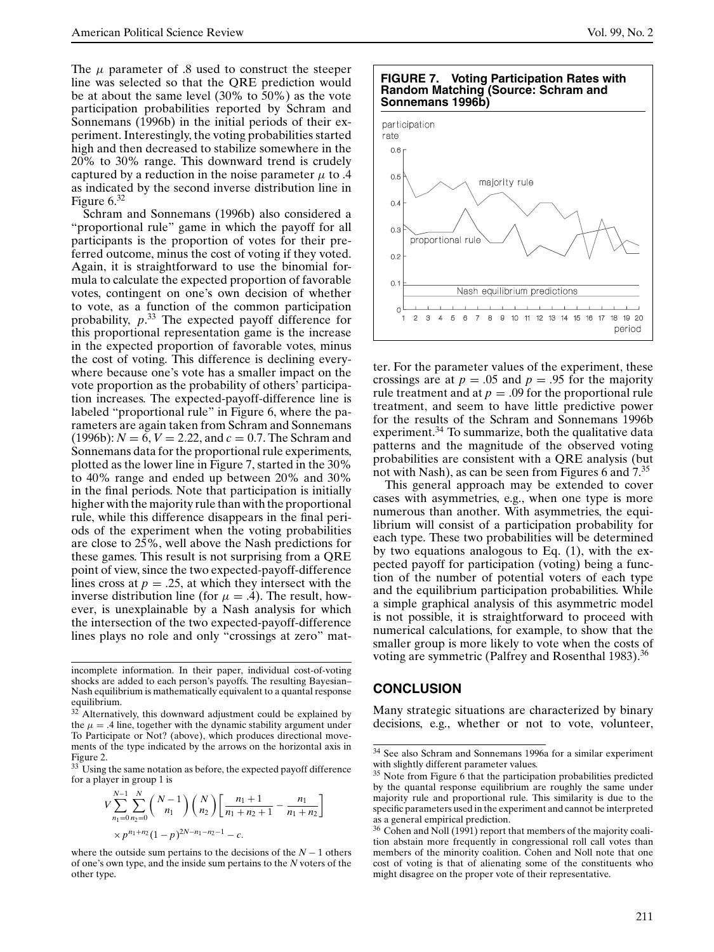The  $\mu$  parameter of .8 used to construct the steeper line was selected so that the QRE prediction would be at about the same level (30% to 50%) as the vote participation probabilities reported by Schram and Sonnemans (1996b) in the initial periods of their experiment. Interestingly, the voting probabilities started high and then decreased to stabilize somewhere in the 20% to 30% range. This downward trend is crudely captured by a reduction in the noise parameter  $\mu$  to .4 as indicated by the second inverse distribution line in Figure  $6^{32}$ 

Schram and Sonnemans (1996b) also considered a "proportional rule" game in which the payoff for all participants is the proportion of votes for their preferred outcome, minus the cost of voting if they voted. Again, it is straightforward to use the binomial formula to calculate the expected proportion of favorable votes, contingent on one's own decision of whether to vote, as a function of the common participation probability, *p*. <sup>33</sup> The expected payoff difference for this proportional representation game is the increase in the expected proportion of favorable votes, minus the cost of voting. This difference is declining everywhere because one's vote has a smaller impact on the vote proportion as the probability of others' participation increases. The expected-payoff-difference line is labeled "proportional rule" in Figure 6, where the parameters are again taken from Schram and Sonnemans  $(1996b)$ :  $N = 6$ ,  $V = 2.22$ , and  $c = 0.7$ . The Schram and Sonnemans data for the proportional rule experiments, plotted as the lower line in Figure 7, started in the 30% to 40% range and ended up between 20% and 30% in the final periods. Note that participation is initially higher with the majority rule than with the proportional rule, while this difference disappears in the final periods of the experiment when the voting probabilities are close to 25%, well above the Nash predictions for these games. This result is not surprising from a QRE point of view, since the two expected-payoff-difference lines cross at  $p = .25$ , at which they intersect with the inverse distribution line (for  $\mu = .4$ ). The result, however, is unexplainable by a Nash analysis for which the intersection of the two expected-payoff-difference lines plays no role and only "crossings at zero" mat-

<sup>33</sup> Using the same notation as before, the expected payoff difference for a player in group 1 is

$$
V\sum_{n_1=0}^{N-1}\sum_{n_2=0}^{N} \binom{N-1}{n_1} \binom{N}{n_2} \left[\frac{n_1+1}{n_1+n_2+1} - \frac{n_1}{n_1+n_2}\right]
$$
  
 
$$
\times p^{n_1+n_2}(1-p)^{2N-n_1-n_2-1} - c.
$$



ter. For the parameter values of the experiment, these crossings are at  $p = .05$  and  $p = .95$  for the majority rule treatment and at  $p = .09$  for the proportional rule treatment, and seem to have little predictive power for the results of the Schram and Sonnemans 1996b experiment.<sup>34</sup> To summarize, both the qualitative data patterns and the magnitude of the observed voting probabilities are consistent with a QRE analysis (but not with Nash), as can be seen from Figures 6 and 7.<sup>35</sup>

This general approach may be extended to cover cases with asymmetries, e.g., when one type is more numerous than another. With asymmetries, the equilibrium will consist of a participation probability for each type. These two probabilities will be determined by two equations analogous to Eq.  $(1)$ , with the expected payoff for participation (voting) being a function of the number of potential voters of each type and the equilibrium participation probabilities. While a simple graphical analysis of this asymmetric model is not possible, it is straightforward to proceed with numerical calculations, for example, to show that the smaller group is more likely to vote when the costs of voting are symmetric (Palfrey and Rosenthal 1983).<sup>36</sup>

#### **CONCLUSION**

Many strategic situations are characterized by binary decisions, e.g., whether or not to vote, volunteer,

incomplete information. In their paper, individual cost-of-voting shocks are added to each person's payoffs. The resulting Bayesian– Nash equilibrium is mathematically equivalent to a quantal response equilibrium.

 $32$ <sup>2</sup> Alternatively, this downward adjustment could be explained by the  $\mu = .4$  line, together with the dynamic stability argument under To Participate or Not? (above), which produces directional movements of the type indicated by the arrows on the horizontal axis in Figure 2.

where the outside sum pertains to the decisions of the  $N-1$  others of one's own type, and the inside sum pertains to the *N* voters of the other type.

<sup>34</sup> See also Schram and Sonnemans 1996a for a similar experiment with slightly different parameter values.

<sup>&</sup>lt;sup>35</sup> Note from Figure 6 that the participation probabilities predicted by the quantal response equilibrium are roughly the same under majority rule and proportional rule. This similarity is due to the specific parameters used in the experiment and cannot be interpreted as a general empirical prediction.

<sup>&</sup>lt;sup>36</sup> Cohen and Noll (1991) report that members of the majority coalition abstain more frequently in congressional roll call votes than members of the minority coalition. Cohen and Noll note that one cost of voting is that of alienating some of the constituents who might disagree on the proper vote of their representative.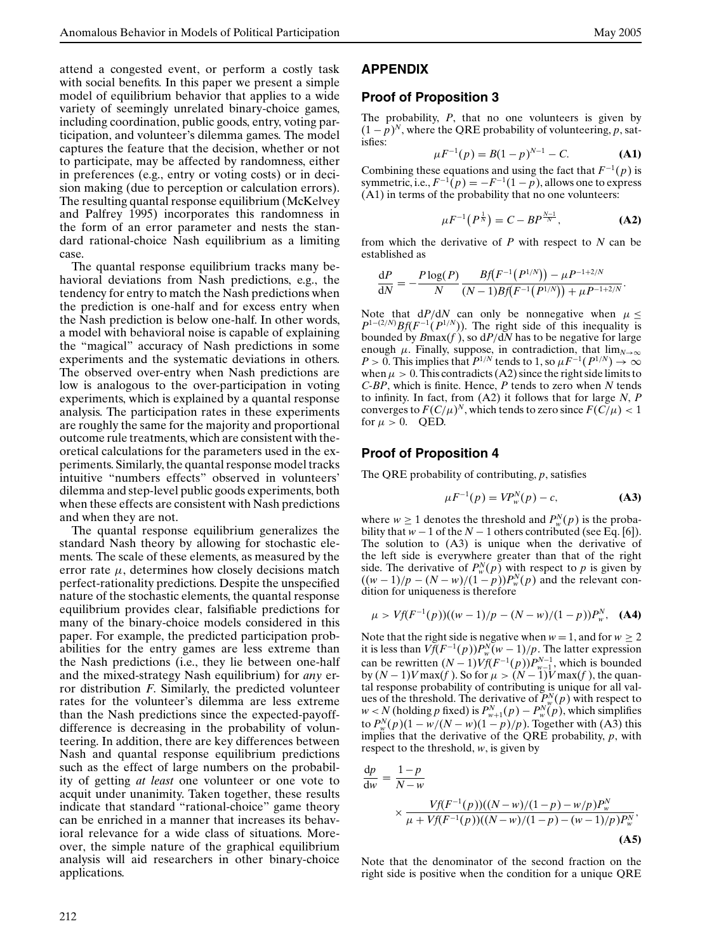attend a congested event, or perform a costly task with social benefits. In this paper we present a simple model of equilibrium behavior that applies to a wide variety of seemingly unrelated binary-choice games, including coordination, public goods, entry, voting participation, and volunteer's dilemma games. The model captures the feature that the decision, whether or not to participate, may be affected by randomness, either in preferences (e.g., entry or voting costs) or in decision making (due to perception or calculation errors). The resulting quantal response equilibrium (McKelvey and Palfrey 1995) incorporates this randomness in the form of an error parameter and nests the standard rational-choice Nash equilibrium as a limiting

The quantal response equilibrium tracks many behavioral deviations from Nash predictions, e.g., the tendency for entry to match the Nash predictions when the prediction is one-half and for excess entry when the Nash prediction is below one-half. In other words, a model with behavioral noise is capable of explaining the "magical" accuracy of Nash predictions in some experiments and the systematic deviations in others. The observed over-entry when Nash predictions are low is analogous to the over-participation in voting experiments, which is explained by a quantal response analysis. The participation rates in these experiments are roughly the same for the majority and proportional outcome rule treatments, which are consistent with theoretical calculations for the parameters used in the experiments. Similarly, the quantal response model tracks intuitive "numbers effects" observed in volunteers' dilemma and step-level public goods experiments, both when these effects are consistent with Nash predictions and when they are not.

The quantal response equilibrium generalizes the standard Nash theory by allowing for stochastic elements. The scale of these elements, as measured by the error rate  $\mu$ , determines how closely decisions match perfect-rationality predictions. Despite the unspecified nature of the stochastic elements, the quantal response equilibrium provides clear, falsifiable predictions for many of the binary-choice models considered in this paper. For example, the predicted participation probabilities for the entry games are less extreme than the Nash predictions (i.e., they lie between one-half and the mixed-strategy Nash equilibrium) for *any* error distribution *F*. Similarly, the predicted volunteer rates for the volunteer's dilemma are less extreme than the Nash predictions since the expected-payoffdifference is decreasing in the probability of volunteering. In addition, there are key differences between Nash and quantal response equilibrium predictions such as the effect of large numbers on the probability of getting *at least* one volunteer or one vote to acquit under unanimity. Taken together, these results indicate that standard "rational-choice" game theory can be enriched in a manner that increases its behavioral relevance for a wide class of situations. Moreover, the simple nature of the graphical equilibrium analysis will aid researchers in other binary-choice applications.

## **APPENDIX**

#### **Proof of Proposition 3**

The probability, *P*, that no one volunteers is given by  $(1-p)^N$ , where the QRE probability of volunteering, *p*, satisfies:

$$
\mu F^{-1}(p) = B(1-p)^{N-1} - C.
$$
 (A1)

Combining these equations and using the fact that  $F^{-1}(p)$  is symmetric, i.e.,  $F^{-1}(p) = -F^{-1}(1 - p)$ , allows one to express (A1) in terms of the probability that no one volunteers:

$$
\mu F^{-1}(P^{\frac{1}{N}}) = C - BP^{\frac{N-1}{N}}, \tag{A2}
$$

from which the derivative of *P* with respect to *N* can be established as

$$
\frac{\mathrm{d}P}{\mathrm{d}N} = -\frac{P\log(P)}{N} \frac{Bf(F^{-1}(P^{1/N})) - \mu P^{-1+2/N}}{(N-1)Bf(F^{-1}(P^{1/N})) + \mu P^{-1+2/N}}.
$$

Note that  $dP/dN$  can only be nonnegative when  $\mu$  <  $P^{1-(2/N)}Bf(F^{-1}(P^{1/N}))$ . The right side of this inequality is bounded by *B*max(*f* ), so d*P/*d*N* has to be negative for large enough  $\mu$ . Finally, suppose, in contradiction, that  $\lim_{N\to\infty}$  $P > 0$ . This implies that  $P^{1/N}$  tends to 1, so  $\mu F^{-1}(P^{1/N}) \to \infty$ when  $\mu > 0$ . This contradicts (A2) since the right side limits to *C*-*BP*, which is finite. Hence, *P* tends to zero when *N* tends to infinity. In fact, from (A2) it follows that for large *N*, *P* converges to  $F(C/\mu)^N$ , which tends to zero since  $F(\overline{C}/\mu) < 1$ for  $\mu > 0$ . QED.

#### **Proof of Proposition 4**

The QRE probability of contributing, *p*, satisfies

$$
\mu F^{-1}(p) = V P_w^N(p) - c,\tag{A3}
$$

where  $w \ge 1$  denotes the threshold and  $P_w^N(p)$  is the probability that  $w - 1$  of the  $N - 1$  others contributed (see Eq. [6]). The solution to (A3) is unique when the derivative of the left side is everywhere greater than that of the right side. The derivative of  $P_w^N(p)$  with respect to *p* is given by  $((w-1)/p - (N - w)/(1-p))P_w^N(p)$  and the relevant condition for uniqueness is therefore

$$
\mu > Vf(F^{-1}(p))((w-1)/p - (N - w)/(1 - p))P_w^N, \quad (A4)
$$

Note that the right side is negative when  $w = 1$ , and for  $w > 2$ it is less than  $V\tilde{f}(F^{-1}(p))P_w^N(w-1)/p$ . The latter expression can be rewritten  $(N-1)Vf(F^{-1}(p))P_{w-1}^{N-1}$ , which is bounded by  $(N-1)V$  max $(f)$ . So for  $\mu > (N-1)V$  max $(f)$ , the quantal response probability of contributing is unique for all values of the threshold. The derivative of  $P_w^N(p)$  with respect to *w* < *N* (holding *p* fixed) is  $P_{w+1}^N(p) - P_w^N(p)$ , which simplifies to  $P_w^N(p)(1 - w/(N - w)(1 - p)/p)$ . Together with (A3) this implies that the derivative of the QRE probability, *p*, with respect to the threshold, *w*, is given by

$$
\frac{dp}{dw} = \frac{1-p}{N-w}
$$
\n
$$
\times \frac{Vf(F^{-1}(p))((N-w)/(1-p)-w/p)P_w^N}{\mu + Vf(F^{-1}(p))((N-w)/(1-p)-(w-1)/p)P_w^N},\tag{A5}
$$

Note that the denominator of the second fraction on the right side is positive when the condition for a unique QRE

case.